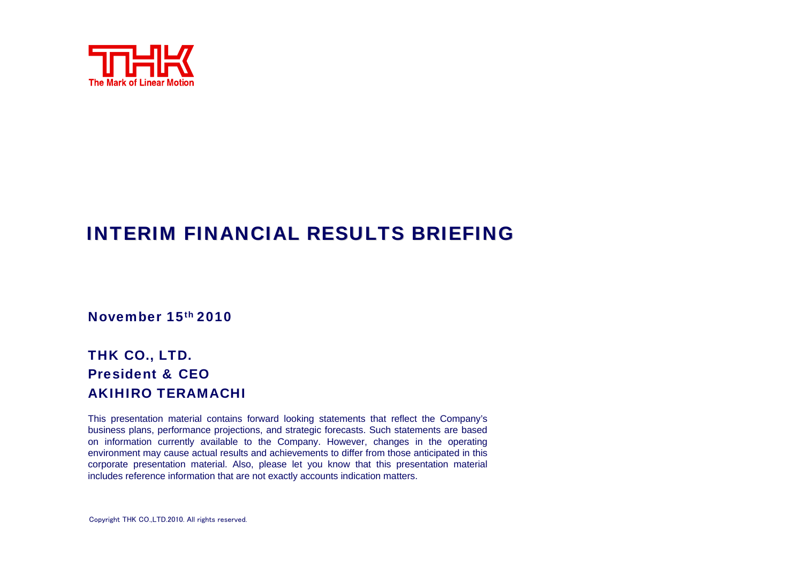

#### INTERIM FINANCIAL RESULTS BRIEFING

November 15th 2010

#### THK CO., LTD. President & CEOAKIHIRO TERAMACHI

This presentation material contains forward looking statements that reflect the Company's business plans, performance projections, and strategic forecasts. Such statements are based on information currently available to the Company. However, changes in the operating environment may cause actual results and achievements to differ from those anticipated in this corporate presentation material. Also, please let you know that this presentation material includes reference information that are not exactly accounts indication matters.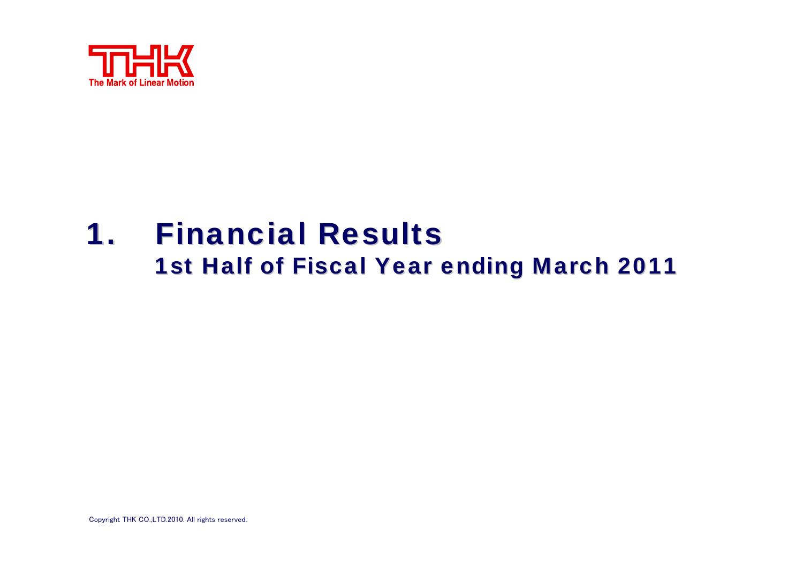

## **1. Financial Results** 1st Half of Fiscal Year ending March 2011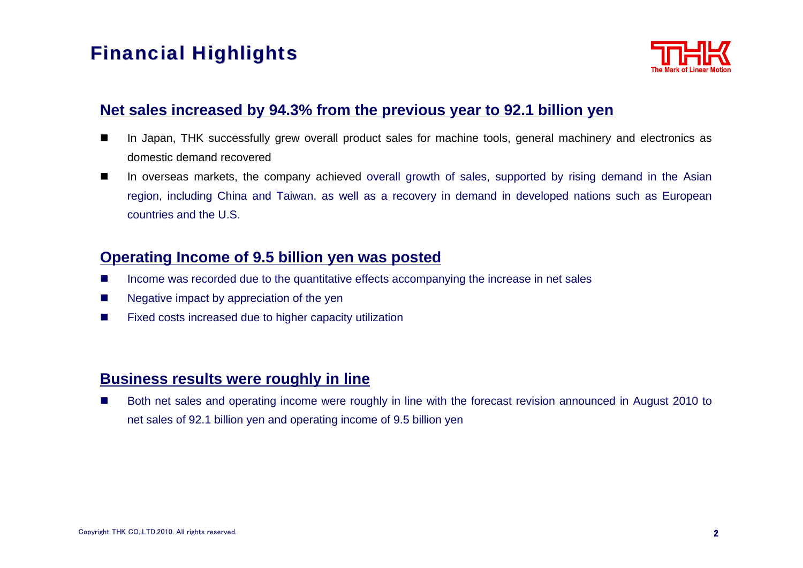### **Financial Highlights**



#### **Net sales increased by 94.3% from the previous year to 92.1 billion yen**

- In Japan, THK successfully grew overall product sales for machine tools, general machinery and electronics as domestic demand recovered
- H In overseas markets, the company achieved overall growth of sales, supported by rising demand in the Asian region, including China and Taiwan, as well as a recovery in demand in developed nations such as European countries and the U.S.

#### **Operating Income of 9.5 billion yen was posted**

- П Income was recorded due to the quantitative effects accompanying the increase in net sales
- п Negative impact by appreciation of the yen
- ш Fixed costs increased due to higher capacity utilization

#### **Business results were roughly in line**

П Both net sales and operating income were roughly in line with the forecast revision announced in August 2010 to net sales of 92.1 billion yen and operating income of 9.5 billion yen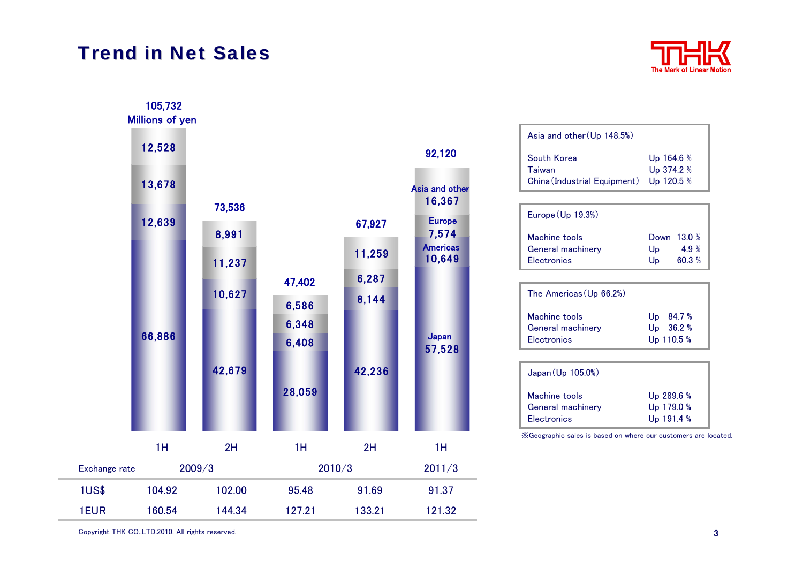#### **Trend in Net Sales**



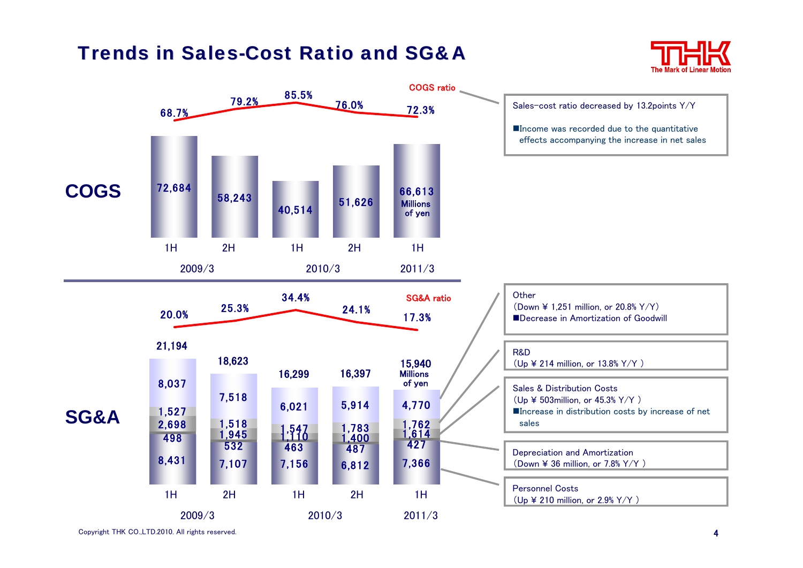#### Trends in Sales-Cost Ratio and SG&A



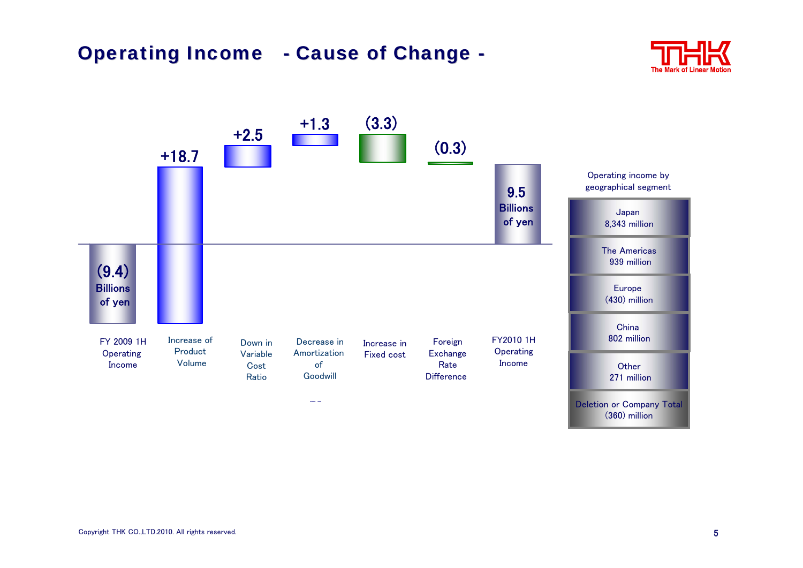#### **Operating Income - Cause of Change -**



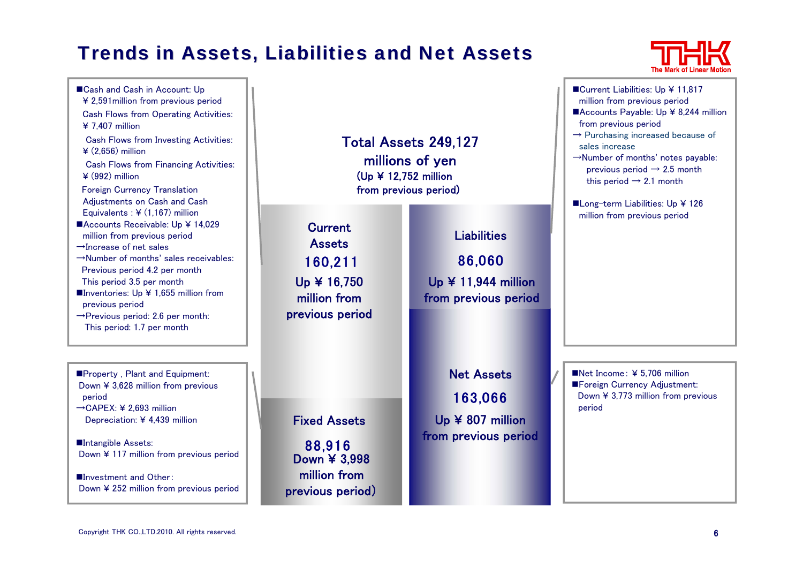### **Trends in Assets, Liabilities and Net Assets**

![](_page_6_Picture_1.jpeg)

■Cash and Cash in Account: Up ¥ 2,591million from previous period Cash Flows from Operating Activities: ¥ 7,407 million Cash Flows from Investing Activities: ¥ (2,656) million Cash Flows from Financing Activities: ¥ (992) million Foreign Currency Translation Adjustments on Cash and Cash Equivalents : ¥ (1,167) million ■Accounts Receivable: Up ¥ 14,029 million from previous period →Increase of net sales→Number of months' sales receivables:Previous period 4.2 per month This period 3.5 per month Inventories: Up  $\angle$  1,655 million from previous period →Previous period: 2.6 per month: This period: 1.7 per month

**Property, Plant and Equipment:** Down ¥ 3,628 million from previous period

→CAPEX: ¥ 2,693 million Depreciation: ¥ 4,439 million

■Intangible Assets: Down ¥ 117 million from previous period

■Investment and Other: Down ¥ 252 million from previous period Total Assets249,127 millions of yen (Up ¥ 12,752 million from previous period)

**Current Assets** Up ¥ 16,750 million from previous period

88,916

Down ¥ 3,998 million from previous period)

Fixed Assets

160,211 86,060 LiabilitiesUp ¥ 11,944 million from previous period

> 163,066 Net AssetsUp ¥ 807 million from previous period

![](_page_6_Picture_11.jpeg)

■Long-term Liabilities: Up ¥ 126 million from previous period

Net Income: ¥ 5,706 million **Example Foreign Currency Adjustment:** Down ¥ 3,773 million from previous period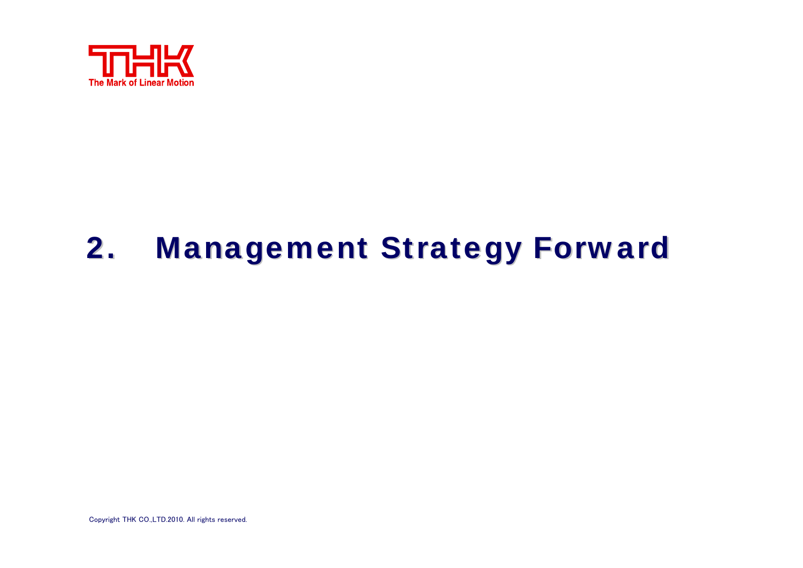![](_page_7_Picture_0.jpeg)

# 2. Management Strategy Forward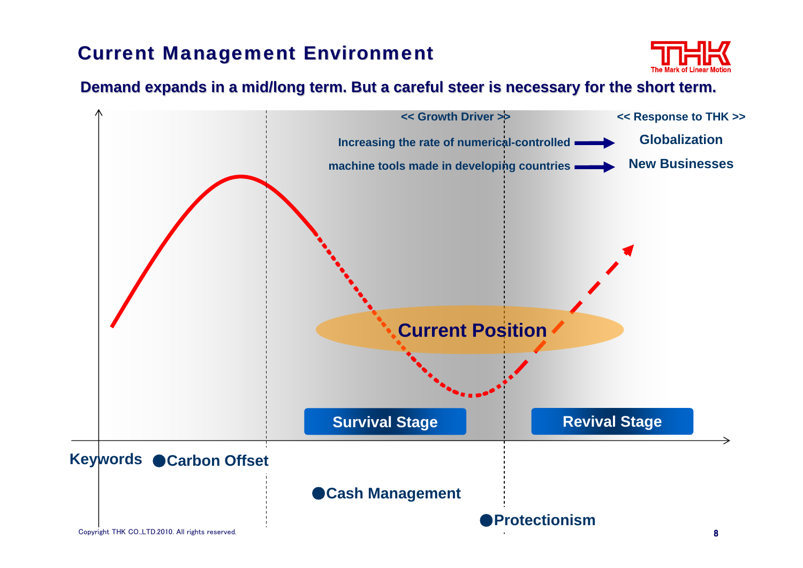### **Current Management Environment**

![](_page_8_Picture_1.jpeg)

#### Demand expands in a mid/long term. But a careful steer is necessary for the short term.

![](_page_8_Figure_3.jpeg)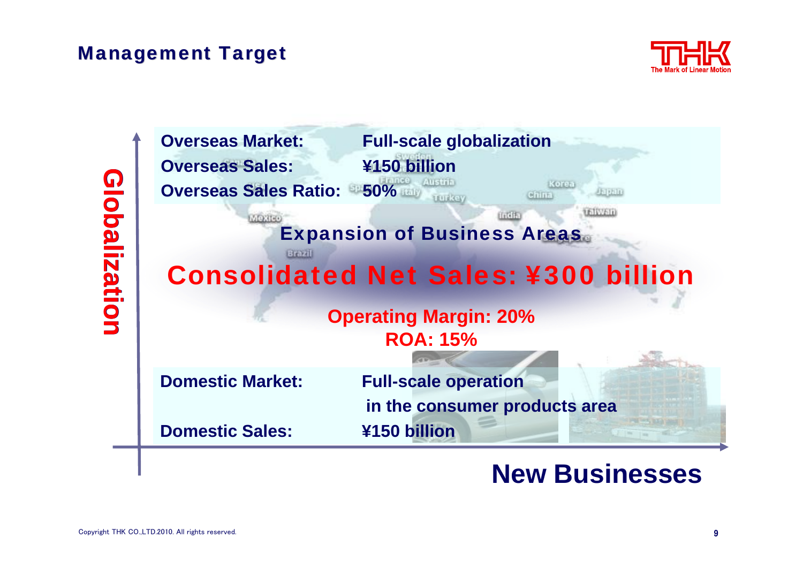**Management Target** 

![](_page_9_Picture_1.jpeg)

| <b>Overseas Market:</b>      | <b>Full-scale globalization</b>                         |
|------------------------------|---------------------------------------------------------|
| <b>Overseas Sales:</b>       | ¥150 billion                                            |
| <b>Overseas Sales Ratio:</b> | 50%<br>Korea<br><b>Firmia</b><br>China                  |
| Mexico<br><b>Brazil</b>      | 511V611<br>11111<br><b>Expansion of Business Areas.</b> |
|                              | <b>Consolidated Net Sales: ¥300 billion</b>             |
|                              | <b>Operating Margin: 20%</b>                            |
|                              | <b>ROA: 15%</b>                                         |
| <b>Domestic Market:</b>      | <b>Full-scale operation</b>                             |
|                              | in the consumer products area                           |
| <b>Domestic Sales:</b>       | ¥150 billion                                            |

## **New Businesses**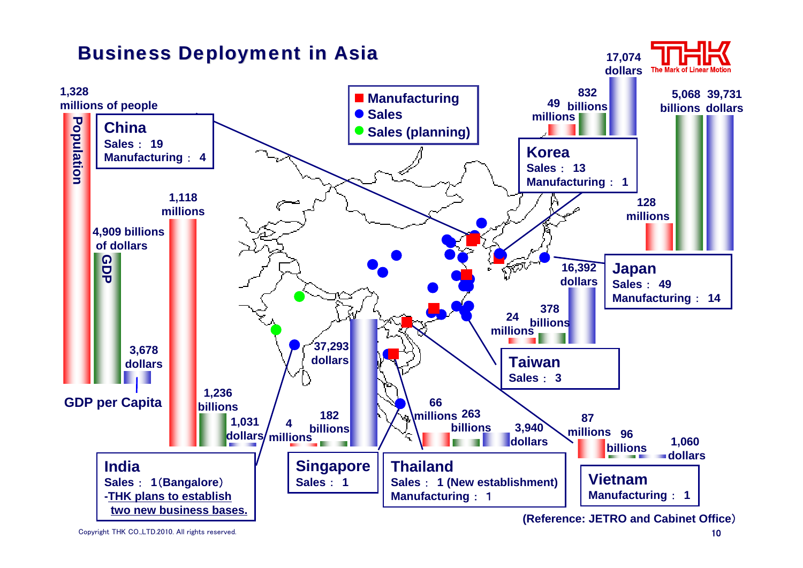![](_page_10_Figure_0.jpeg)

Copyright THK CO.,LTD.2010. All rights reserved.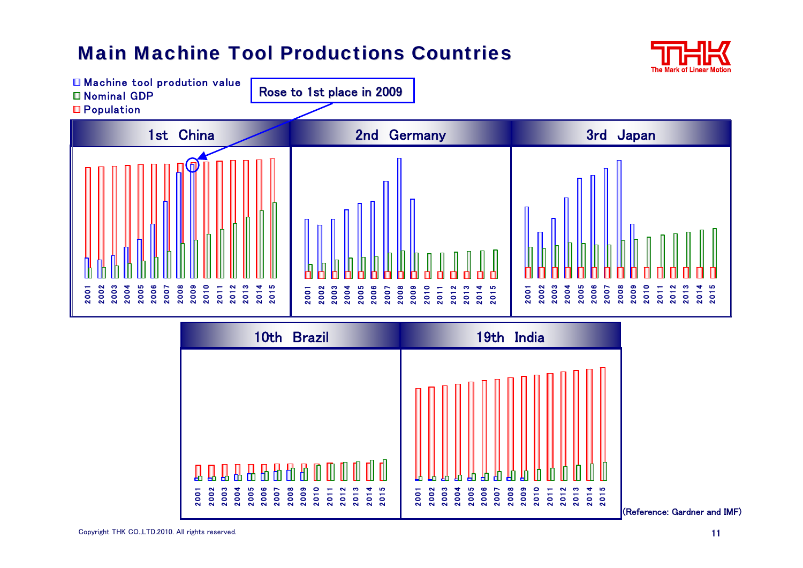### **Main Machine Tool Productions Countries**

![](_page_11_Picture_1.jpeg)

![](_page_11_Figure_2.jpeg)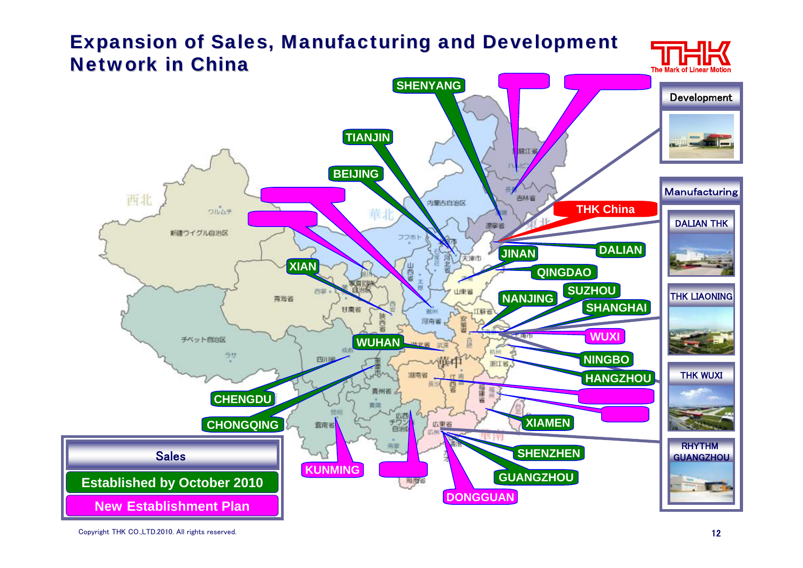### <span id="page-12-0"></span>Expansion of Sales, Manufacturing and Development **Network in China**

![](_page_12_Picture_1.jpeg)

![](_page_12_Figure_2.jpeg)

Copyright THK CO.,LTD.2010. All rights reserved.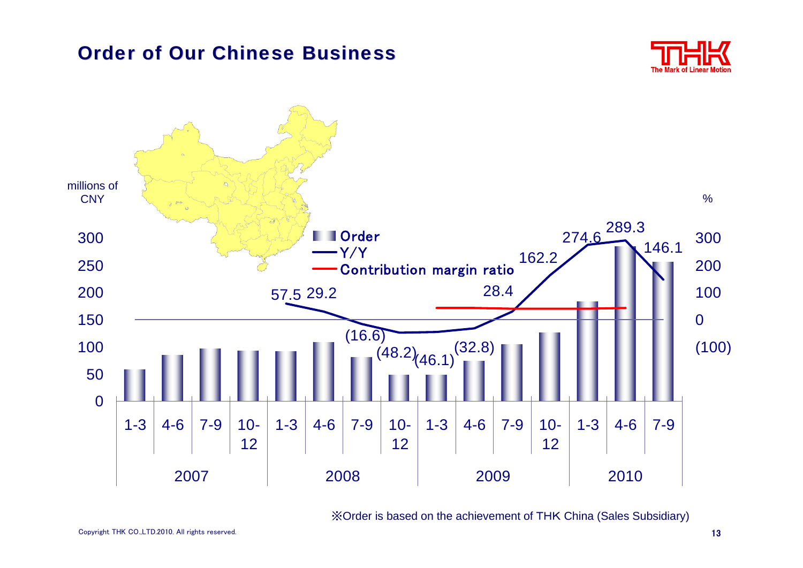#### Order of Our Chinese Business

![](_page_13_Picture_1.jpeg)

![](_page_13_Figure_2.jpeg)

※Order is based on the achievement of THK China (Sales Subsidiary)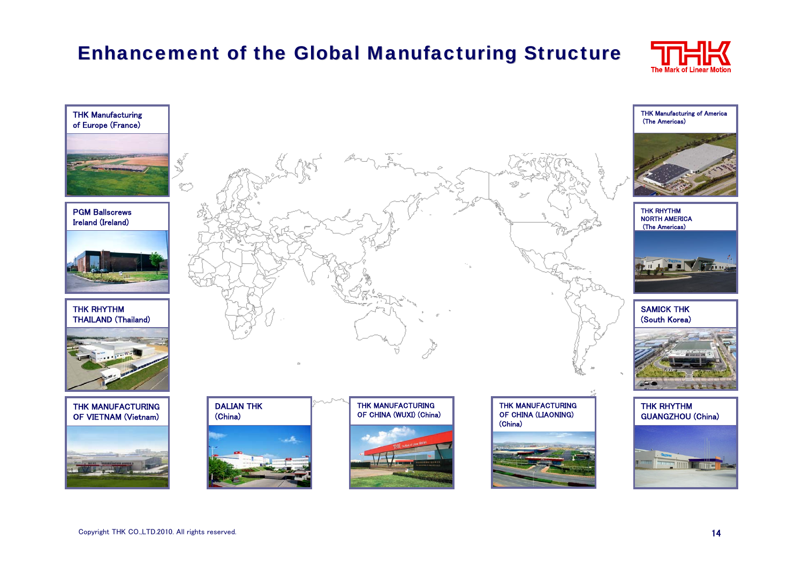### Enhancement of the Global Manufacturing Structure

![](_page_14_Picture_1.jpeg)

![](_page_14_Picture_2.jpeg)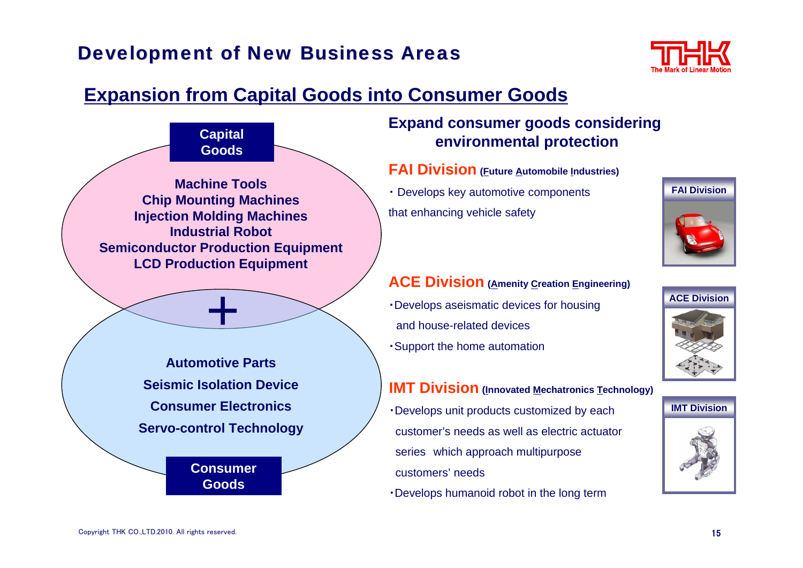### <span id="page-15-0"></span>**Development of New Business Areas**

![](_page_15_Picture_1.jpeg)

### **Expansion from Capital Goods into Consumer Goods**

![](_page_15_Figure_3.jpeg)

#### **Expand consumer goods considering environmental protection**

**FAI Division (Future Automobile Industries)**

・ Develops key automotive components that enhancing vehicle safety

![](_page_15_Picture_7.jpeg)

- ・Develops aseismatic devices for housing and house-related devices
- ・Support the home automation

#### **IMT Division** (Innovated Mechatronics Technology)

- ・Develops unit products customized by each customer's needs as well as electric actuator series which approach multipurpose customers' needs
- ・Develops humanoid robot in the long term

![](_page_15_Picture_13.jpeg)

![](_page_15_Picture_14.jpeg)

![](_page_15_Picture_15.jpeg)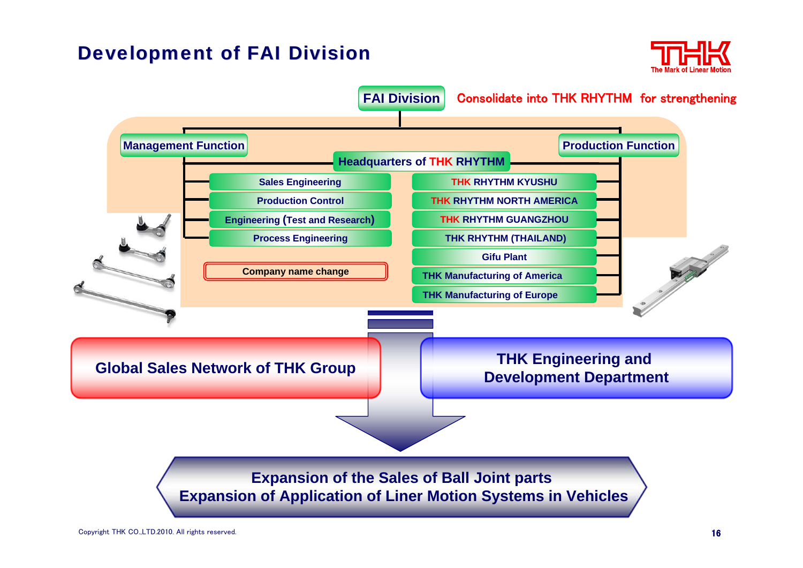#### **Development of FAI Division**

![](_page_16_Picture_1.jpeg)

![](_page_16_Figure_2.jpeg)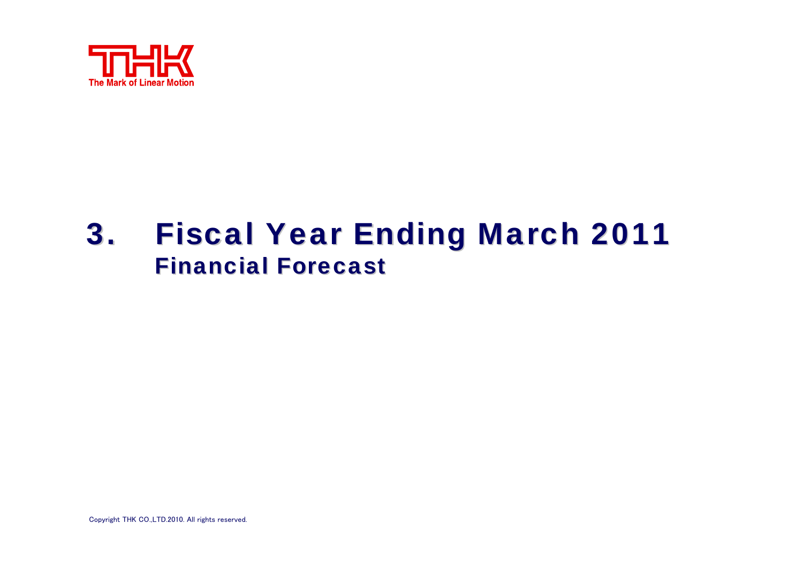![](_page_17_Picture_0.jpeg)

## 3. Fiscal Year Ending March 2011 **Financial Forecast**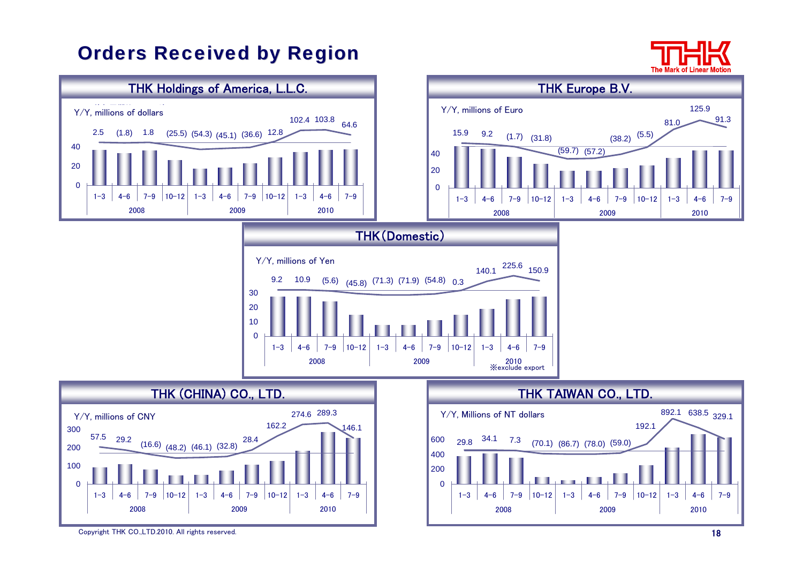### <span id="page-18-0"></span>**[Orders Received by Region](#page-18-0)**

The Ma

![](_page_18_Figure_2.jpeg)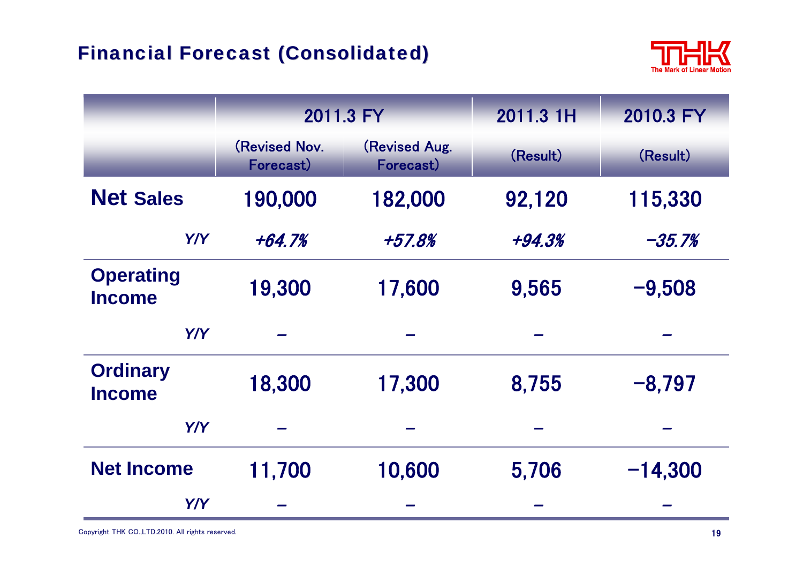![](_page_19_Picture_1.jpeg)

|                                   | 2011.3 FY                         |                            | 2011.3 1H | 2010.3 FY |
|-----------------------------------|-----------------------------------|----------------------------|-----------|-----------|
|                                   | <b>(Revised Nov.</b><br>Forecast) | (Revised Aug.<br>Forecast) | (Result)  | (Result)  |
| <b>Net Sales</b>                  | 190,000                           | 182,000                    | 92,120    | 115,330   |
| Y/Y                               | +64.7%                            | +57.8%                     | +94.3%    | $-35.7%$  |
| <b>Operating</b><br><b>Income</b> | 19,300                            | 17,600                     | 9,565     | $-9,508$  |
| Y/Y                               |                                   |                            |           |           |
| <b>Ordinary</b><br><b>Income</b>  | 18,300                            | 17,300                     | 8,755     | $-8,797$  |
| Y/Y                               |                                   |                            |           |           |
| <b>Net Income</b>                 | 11,700                            | 10,600                     | 5,706     | $-14,300$ |
| Y/Y                               |                                   |                            |           |           |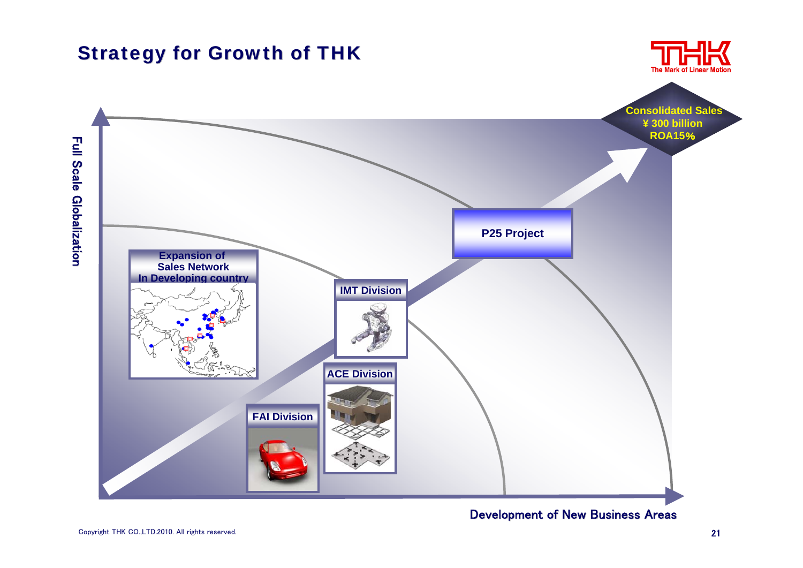<span id="page-20-0"></span>![](_page_20_Figure_0.jpeg)

Development of New Business Areas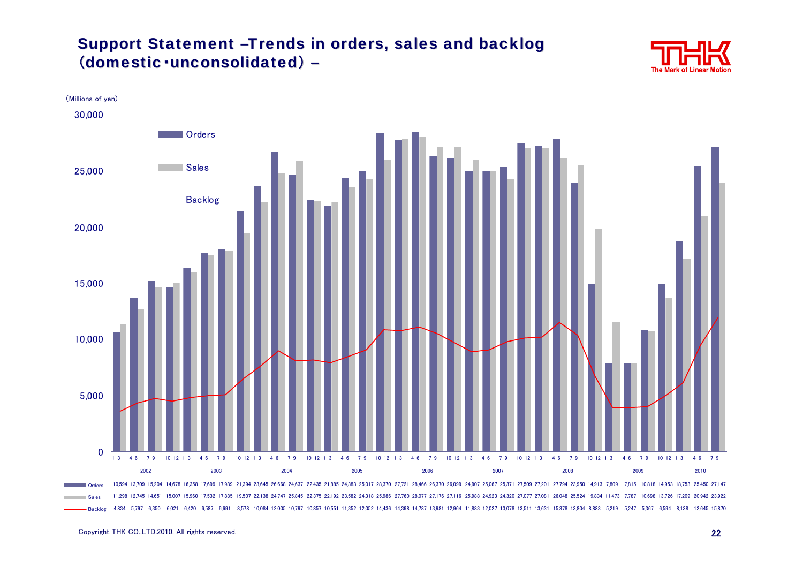#### Support Statement -Trends in orders, sales and backlog (domestic·unconsolidated) –

![](_page_21_Picture_1.jpeg)

![](_page_21_Figure_2.jpeg)